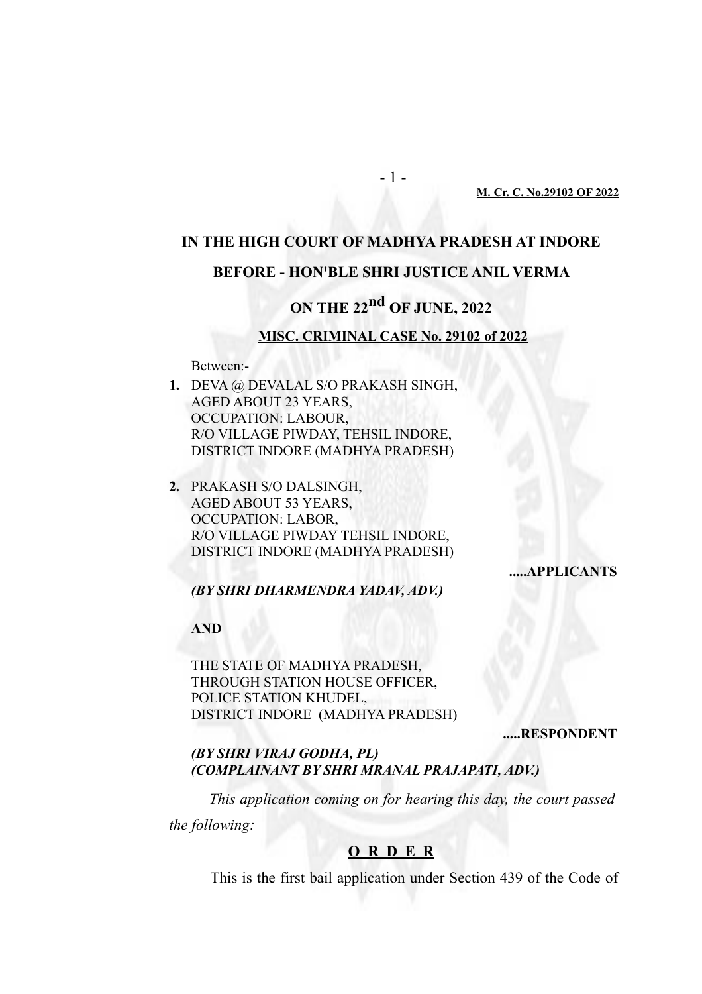#### **M. Cr. C. No.29102 OF 2022**

# **IN THE HIGH COURT OF MADHYA PRADESH AT INDORE**

- 1 -

## **BEFORE - HON'BLE SHRI JUSTICE ANIL VERMA**

# **ON THE 22nd OF JUNE, 2022**

#### **MISC. CRIMINAL CASE No. 29102 of 2022**

Between:-

- **1.** DEVA @ DEVALAL S/O PRAKASH SINGH, AGED ABOUT 23 YEARS, OCCUPATION: LABOUR, R/O VILLAGE PIWDAY, TEHSIL INDORE, DISTRICT INDORE (MADHYA PRADESH)
- **2.** PRAKASH S/O DALSINGH, AGED ABOUT 53 YEARS, OCCUPATION: LABOR, R/O VILLAGE PIWDAY TEHSIL INDORE, DISTRICT INDORE (MADHYA PRADESH)

## **.....APPLICANTS**

*(BY SHRI DHARMENDRA YADAV, ADV.)*

**AND** 

THE STATE OF MADHYA PRADESH, THROUGH STATION HOUSE OFFICER, POLICE STATION KHUDEL, DISTRICT INDORE (MADHYA PRADESH)

**.....RESPONDENT**

*(BY SHRI VIRAJ GODHA, PL) (COMPLAINANT BY SHRI MRANAL PRAJAPATI, ADV.)*

*This application coming on for hearing this day, the court passed*

*the following:* 

## **O R D E R**

This is the first bail application under Section 439 of the Code of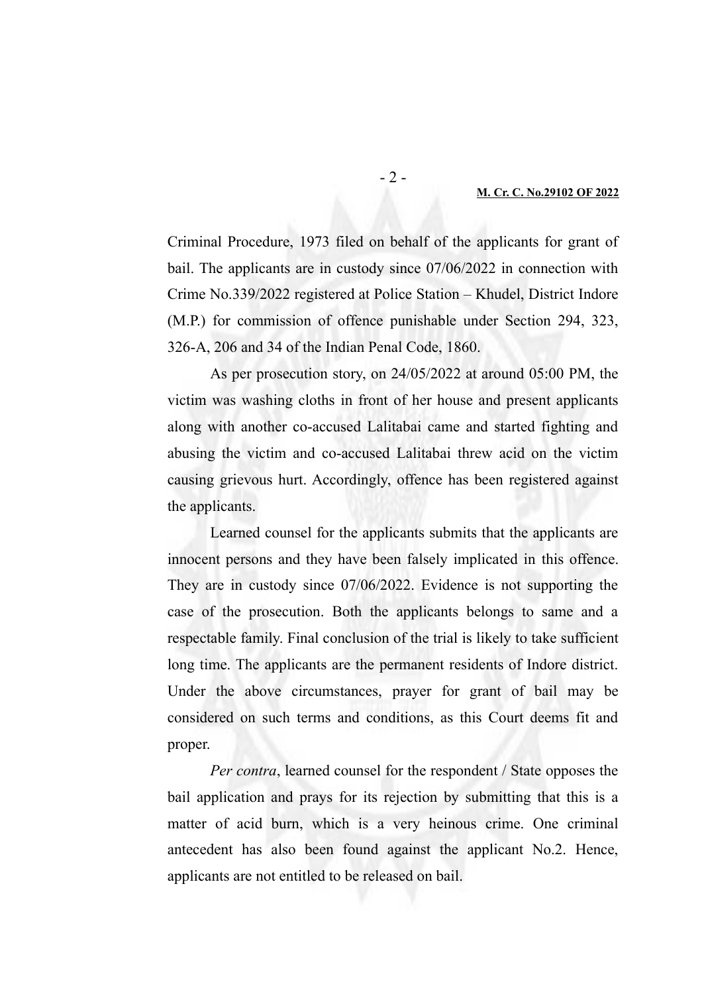Criminal Procedure, 1973 filed on behalf of the applicants for grant of bail. The applicants are in custody since 07/06/2022 in connection with Crime No.339/2022 registered at Police Station – Khudel, District Indore (M.P.) for commission of offence punishable under Section 294, 323, 326-A, 206 and 34 of the Indian Penal Code, 1860.

As per prosecution story, on 24/05/2022 at around 05:00 PM, the victim was washing cloths in front of her house and present applicants along with another co-accused Lalitabai came and started fighting and abusing the victim and co-accused Lalitabai threw acid on the victim causing grievous hurt. Accordingly, offence has been registered against the applicants.

Learned counsel for the applicants submits that the applicants are innocent persons and they have been falsely implicated in this offence. They are in custody since 07/06/2022. Evidence is not supporting the case of the prosecution. Both the applicants belongs to same and a respectable family. Final conclusion of the trial is likely to take sufficient long time. The applicants are the permanent residents of Indore district. Under the above circumstances, prayer for grant of bail may be considered on such terms and conditions, as this Court deems fit and proper.

*Per contra*, learned counsel for the respondent / State opposes the bail application and prays for its rejection by submitting that this is a matter of acid burn, which is a very heinous crime. One criminal antecedent has also been found against the applicant No.2. Hence, applicants are not entitled to be released on bail.